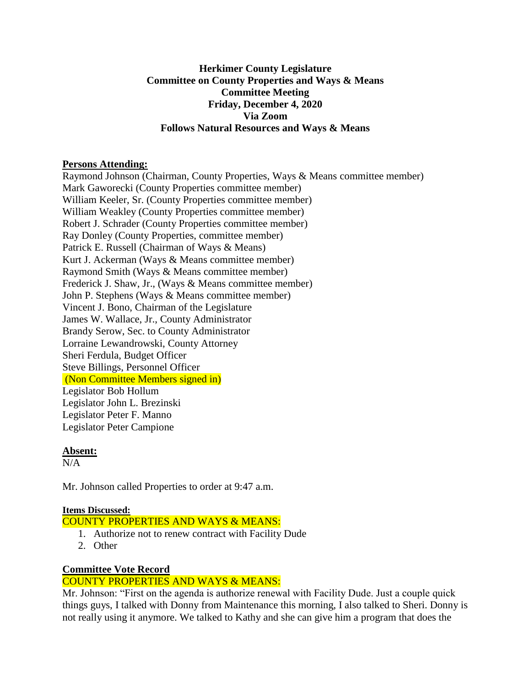### **Herkimer County Legislature Committee on County Properties and Ways & Means Committee Meeting Friday, December 4, 2020 Via Zoom Follows Natural Resources and Ways & Means**

### **Persons Attending:**

Raymond Johnson (Chairman, County Properties, Ways & Means committee member) Mark Gaworecki (County Properties committee member) William Keeler, Sr. (County Properties committee member) William Weakley (County Properties committee member) Robert J. Schrader (County Properties committee member) Ray Donley (County Properties, committee member) Patrick E. Russell (Chairman of Ways & Means) Kurt J. Ackerman (Ways & Means committee member) Raymond Smith (Ways & Means committee member) Frederick J. Shaw, Jr., (Ways & Means committee member) John P. Stephens (Ways & Means committee member) Vincent J. Bono, Chairman of the Legislature James W. Wallace, Jr., County Administrator Brandy Serow, Sec. to County Administrator Lorraine Lewandrowski, County Attorney Sheri Ferdula, Budget Officer Steve Billings, Personnel Officer (Non Committee Members signed in) Legislator Bob Hollum Legislator John L. Brezinski Legislator Peter F. Manno Legislator Peter Campione

#### **Absent:**

 $N/A$ 

Mr. Johnson called Properties to order at 9:47 a.m.

#### **Items Discussed:**

COUNTY PROPERTIES AND WAYS & MEANS:

- 1. Authorize not to renew contract with Facility Dude
- 2. Other

# **Committee Vote Record**

# COUNTY PROPERTIES AND WAYS & MEANS:

Mr. Johnson: "First on the agenda is authorize renewal with Facility Dude. Just a couple quick things guys, I talked with Donny from Maintenance this morning, I also talked to Sheri. Donny is not really using it anymore. We talked to Kathy and she can give him a program that does the